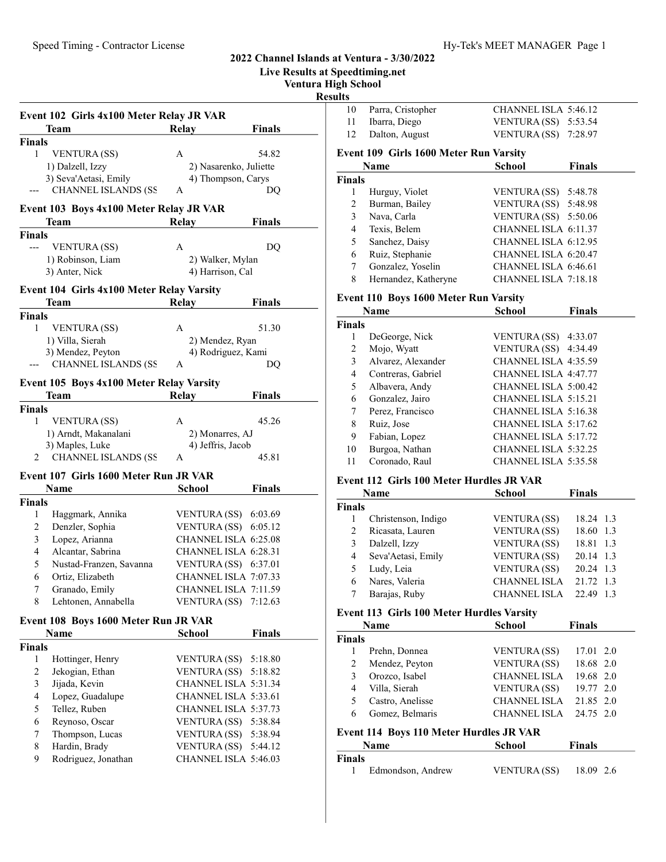#### Live Results at Speedtiming.net Ventura High School Result Event 102 Girls 4x100 Meter Relay JR VAR Team Relay Finals Finals 1 54.82 VENTURA (SS) A 1) Dalzell, Izzy 2) Nasarenko, Juliette 3) Seva'Aetasi, Emily 4) Thompson, Carys --- CHANNEL ISLANDS (SS A DQ Event 103 Boys 4x100 Meter Relay JR VAR Team Relay Finals Finals --- DQ VENTURA (SS) A 1) Robinson, Liam 2) Walker, Mylan 3) Anter, Nick 4) Harrison, Cal Event 104 Girls 4x100 Meter Relay Varsity Team Relay Finals Finals 1 VENTURA (SS) A 51.30 1) Villa, Sierah 2) Mendez, Ryan 3) Mendez, Peyton 4) Rodriguez, Kami CHANNEL ISLANDS (SS A DQ Event 105 Boys 4x100 Meter Relay Varsity Team Relay Finals Finals 1 VENTURA (SS) A 45.26 1) Arndt, Makanalani 2) Monarres, AJ 3) Maples, Luke 4) Jeffris, Jacob 2 CHANNEL ISLANDS (SS A 45.81 Event 107 Girls 1600 Meter Run JR VAR **Name** School Finals Finals 1 Haggmark, Annika VENTURA (SS) 6:03.69 2 Denzler, Sophia VENTURA (SS) 6:05.12 3 Lopez, Arianna CHANNEL ISLA 6:25.08 4 Alcantar, Sabrina CHANNEL ISLA 6:28.31 5 Nustad-Franzen, Savanna VENTURA (SS) 6:37.01 6 Ortiz, Elizabeth CHANNEL ISLA 7:07.33 7 Granado, Emily CHANNEL ISLA 7:11.59 8 Lehtonen, Annabella VENTURA (SS) 7:12.63 Event 108 Boys 1600 Meter Run JR VAR Name School Finals Finals 1 Hottinger, Henry VENTURA (SS) 5:18.80 2 Jekogian, Ethan VENTURA (SS) 5:18.82 3 Jijada, Kevin CHANNEL ISLA 5:31.34 4 Lopez, Guadalupe CHANNEL ISLA 5:33.61 5 Tellez, Ruben CHANNEL ISLA 5:37.73 6 Reynoso, Oscar VENTURA (SS) 5:38.84 7 Thompson, Lucas VENTURA (SS) 5:38.94 8 Hardin, Brady VENTURA (SS) 5:44.12 9 Rodriguez, Jonathan CHANNEL ISLA 5:46.03  $\overline{F}$  $\mathbf{F}$  $\mathbf{F}$  $\mathbf{F}$

| IIts                    |                                                  |                      |               |
|-------------------------|--------------------------------------------------|----------------------|---------------|
| 10                      | Parra, Cristopher                                | CHANNEL ISLA 5:46.12 |               |
| 11                      | Ibarra, Diego                                    | <b>VENTURA (SS)</b>  | 5:53.54       |
| 12                      | Dalton, August                                   | VENTURA (SS)         | 7:28.97       |
|                         | Event 109 Girls 1600 Meter Run Varsity           |                      |               |
|                         | Name                                             | School               | <b>Finals</b> |
| Finals                  |                                                  |                      |               |
| 1                       | Hurguy, Violet                                   | VENTURA (SS)         | 5:48.78       |
| $\overline{c}$          | Burman, Bailey                                   | <b>VENTURA (SS)</b>  | 5:48.98       |
| 3                       | Nava, Carla                                      | <b>VENTURA (SS)</b>  | 5:50.06       |
| $\overline{4}$          | Texis, Belem                                     | CHANNEL ISLA 6:11.37 |               |
| 5                       | Sanchez, Daisy                                   | CHANNEL ISLA 6:12.95 |               |
| 6                       | Ruiz, Stephanie                                  | CHANNEL ISLA 6:20.47 |               |
| 7                       | Gonzalez, Yoselin                                | CHANNEL ISLA 6:46.61 |               |
| 8                       | Hernandez, Katheryne                             | CHANNEL ISLA 7:18.18 |               |
|                         | <b>Event 110 Boys 1600 Meter Run Varsity</b>     |                      |               |
|                         | Name                                             | <b>School</b>        | <b>Finals</b> |
| <b>Finals</b>           |                                                  |                      |               |
| 1                       | DeGeorge, Nick                                   | <b>VENTURA (SS)</b>  | 4:33.07       |
| $\overline{c}$          | Mojo, Wyatt                                      | VENTURA (SS)         | 4:34.49       |
| 3                       | Alvarez, Alexander                               | CHANNEL ISLA 4:35.59 |               |
| 4                       | Contreras, Gabriel                               | CHANNEL ISLA 4:47.77 |               |
| 5                       | Albavera, Andy                                   | CHANNEL ISLA 5:00.42 |               |
| 6                       | Gonzalez, Jairo                                  | CHANNEL ISLA 5:15.21 |               |
| 7                       | Perez, Francisco                                 | CHANNEL ISLA 5:16.38 |               |
| 8                       | Ruiz, Jose                                       | CHANNEL ISLA 5:17.62 |               |
| 9                       | Fabian, Lopez                                    | CHANNEL ISLA 5:17.72 |               |
| 10                      | Burgoa, Nathan                                   | CHANNEL ISLA 5:32.25 |               |
| 11                      | Coronado, Raul                                   | CHANNEL ISLA 5:35.58 |               |
|                         | <b>Event 112 Girls 100 Meter Hurdles JR VAR</b>  |                      |               |
|                         | <b>Name</b>                                      | <b>School</b>        | <b>Finals</b> |
| Finals                  |                                                  |                      |               |
| 1                       | Christenson, Indigo                              | <b>VENTURA (SS)</b>  | 18.24 1.3     |
| 2                       | Ricasata, Lauren                                 | <b>VENTURA (SS)</b>  | 18.60 1.3     |
| 3                       | Dalzell, Izzy                                    | <b>VENTURA (SS)</b>  | 18.81 1.3     |
| $\overline{\mathbf{4}}$ | Seva'Aetasi, Emily                               | <b>VENTURA (SS)</b>  | 20.14 1.3     |
| 5                       | Ludy, Leia                                       | <b>VENTURA (SS)</b>  | 20.24 1.3     |
| 6                       | Nares, Valeria                                   | CHANNEL ISLA         | 21.72 1.3     |
| 7                       | Barajas, Ruby                                    | <b>CHANNEL ISLA</b>  | 22.49 1.3     |
|                         | <b>Event 113 Girls 100 Meter Hurdles Varsity</b> |                      |               |
|                         | Name                                             | <b>School</b>        | <b>Finals</b> |

|        | <b>Name</b>      | School              | Finals    |  |
|--------|------------------|---------------------|-----------|--|
| ∛inals |                  |                     |           |  |
|        | Prehn, Donnea    | <b>VENTURA (SS)</b> | 17.01 2.0 |  |
|        | Mendez, Peyton   | <b>VENTURA (SS)</b> | 18.68 2.0 |  |
|        | Orozco, Isabel   | <b>CHANNEL ISLA</b> | 19.68 2.0 |  |
|        | Villa, Sierah    | <b>VENTURA</b> (SS) | 19.77 2.0 |  |
|        | Castro, Anelisse | <b>CHANNEL ISLA</b> | 21.85 2.0 |  |
|        | Gomez, Belmaris  | <b>CHANNEL ISLA</b> | 24.75 2.0 |  |
|        |                  |                     |           |  |

#### Event 114 Boys 110 Meter Hurdles JR VAR

| <b>Name</b>   |                   | School       | <b>Finals</b> |
|---------------|-------------------|--------------|---------------|
| <b>Finals</b> |                   |              |               |
|               | Edmondson, Andrew | VENTURA (SS) | 18.09 2.6     |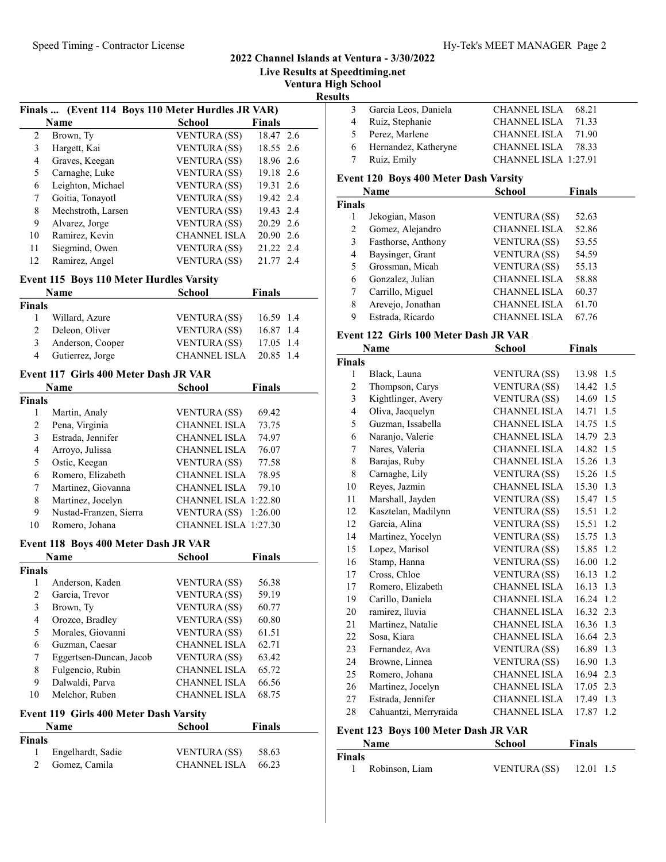Live Results at Speedtiming.net

Ventura High School

Results

|    | Finals  (Event 114 Boys 110 Meter Hurdles JR VAR) |                     |               |  |  |
|----|---------------------------------------------------|---------------------|---------------|--|--|
|    | Name                                              | <b>School</b>       | <b>Finals</b> |  |  |
| 2  | Brown, Ty                                         | <b>VENTURA (SS)</b> | 18.47 2.6     |  |  |
| 3  | Hargett, Kai                                      | <b>VENTURA</b> (SS) | 18.55 2.6     |  |  |
| 4  | Graves, Keegan                                    | <b>VENTURA (SS)</b> | 18.96 2.6     |  |  |
| 5  | Carnaghe, Luke                                    | <b>VENTURA</b> (SS) | 19.18 2.6     |  |  |
| 6  | Leighton, Michael                                 | <b>VENTURA</b> (SS) | 19.31 2.6     |  |  |
| 7  | Goitia, Tonayotl                                  | <b>VENTURA (SS)</b> | 19.42 2.4     |  |  |
| 8  | Mechstroth, Larsen                                | <b>VENTURA</b> (SS) | 19.43 2.4     |  |  |
| 9  | Alvarez, Jorge                                    | <b>VENTURA (SS)</b> | 20.29 2.6     |  |  |
| 10 | Ramirez, Kevin                                    | <b>CHANNEL ISLA</b> | 20.90 2.6     |  |  |
| 11 | Siegmind, Owen                                    | <b>VENTURA</b> (SS) | 21.22 2.4     |  |  |
| 12 | Ramirez, Angel                                    | <b>VENTURA</b> (SS) | 21.77 2.4     |  |  |

#### Event 115 Boys 110 Meter Hurdles Varsity

|               | <b>Name</b>      | <b>School</b>       | <b>Finals</b> |
|---------------|------------------|---------------------|---------------|
| <b>Finals</b> |                  |                     |               |
|               | Willard, Azure   | <b>VENTURA</b> (SS) | 16.59 1.4     |
| $2^{1}$       | Deleon, Oliver   | <b>VENTURA</b> (SS) | 16.87 1.4     |
| 3             | Anderson, Cooper | <b>VENTURA</b> (SS) | 17.05 1.4     |
| 4             | Gutierrez, Jorge | <b>CHANNEL ISLA</b> | 20.85 1.4     |

#### Event 117 Girls 400 Meter Dash JR VAR

|               | Name                   | School                      | <b>Finals</b> |
|---------------|------------------------|-----------------------------|---------------|
| <b>Finals</b> |                        |                             |               |
|               | Martin, Analy          | <b>VENTURA</b> (SS)         | 69.42         |
| 2             | Pena, Virginia         | <b>CHANNEL ISLA</b>         | 73.75         |
| 3             | Estrada, Jennifer      | <b>CHANNEL ISLA</b>         | 74.97         |
| 4             | Arroyo, Julissa        | <b>CHANNEL ISLA</b>         | 76.07         |
| 5             | Ostic, Keegan          | <b>VENTURA</b> (SS)         | 77.58         |
| 6             | Romero, Elizabeth      | <b>CHANNEL ISLA</b>         | 78.95         |
| 7             | Martinez, Giovanna     | <b>CHANNEL ISLA</b>         | 79.10         |
| 8             | Martinez, Jocelyn      | <b>CHANNEL ISLA 1:22.80</b> |               |
| 9             | Nustad-Franzen, Sierra | <b>VENTURA (SS)</b>         | 1:26.00       |
| 10            | Romero, Johana         | CHANNEL ISLA 1:27.30        |               |

### Event 118 Boys 400 Meter Dash JR VAR

|               | <b>Name</b>             | School              | Finals |
|---------------|-------------------------|---------------------|--------|
| <b>Finals</b> |                         |                     |        |
|               | Anderson, Kaden         | <b>VENTURA</b> (SS) | 56.38  |
| 2             | Garcia, Trevor          | <b>VENTURA</b> (SS) | 59.19  |
| 3             | Brown, Ty               | <b>VENTURA</b> (SS) | 60.77  |
| 4             | Orozco, Bradley         | <b>VENTURA (SS)</b> | 60.80  |
| 5             | Morales, Giovanni       | <b>VENTURA</b> (SS) | 61.51  |
| 6             | Guzman, Caesar          | <b>CHANNEL ISLA</b> | 62.71  |
| 7             | Eggertsen-Duncan, Jacob | <b>VENTURA</b> (SS) | 63.42  |
| 8             | Fulgencio, Rubin        | <b>CHANNEL ISLA</b> | 65.72  |
| 9             | Dalwaldi, Parva         | <b>CHANNEL ISLA</b> | 66.56  |
| 10            | Melchor, Ruben          | <b>CHANNEL ISLA</b> | 68.75  |

#### Event 119 Girls 400 Meter Dash Varsity

|               | <b>Name</b>       | School              | Finals |  |
|---------------|-------------------|---------------------|--------|--|
| <b>Finals</b> |                   |                     |        |  |
|               | Engelhardt, Sadie | <b>VENTURA</b> (SS) | 58.63  |  |
|               | Gomez, Camila     | CHANNEL ISLA        | 66.23  |  |

| 3 Garcia Leos, Daniela | CHANNEL ISLA 68.21    |
|------------------------|-----------------------|
| 4 Ruiz, Stephanie      | CHANNEL ISLA 71.33    |
| 5 Perez, Marlene       | CHANNEL ISLA 71.90    |
| 6 Hernandez, Katheryne | CHANNEL ISLA<br>78.33 |
| 7 Ruiz, Emily          | CHANNEL ISLA 1:27.91  |

### Event 120 Boys 400 Meter Dash Varsity

|               | Name               | School              | <b>Finals</b> |
|---------------|--------------------|---------------------|---------------|
| <b>Finals</b> |                    |                     |               |
| 1             | Jekogian, Mason    | <b>VENTURA</b> (SS) | 52.63         |
| 2             | Gomez, Alejandro   | <b>CHANNEL ISLA</b> | 52.86         |
| 3             | Fasthorse, Anthony | <b>VENTURA</b> (SS) | 53.55         |
| 4             | Baysinger, Grant   | <b>VENTURA</b> (SS) | 54.59         |
| 5             | Grossman, Micah    | <b>VENTURA (SS)</b> | 55.13         |
| 6             | Gonzalez, Julian   | <b>CHANNEL ISLA</b> | 58.88         |
|               | Carrillo, Miguel   | <b>CHANNEL ISLA</b> | 60.37         |
| 8             | Arevejo, Jonathan  | <b>CHANNEL ISLA</b> | 61.70         |
| 9             | Estrada, Ricardo   | <b>CHANNEL ISLA</b> | 67.76         |

#### Event 122 Girls 100 Meter Dash JR VAR

|                | Name                  | <b>School</b>       | <b>Finals</b> |
|----------------|-----------------------|---------------------|---------------|
| <b>Finals</b>  |                       |                     |               |
| $\mathbf{1}$   | Black, Launa          | <b>VENTURA (SS)</b> | 13.98<br>1.5  |
| $\overline{2}$ | Thompson, Carys       | <b>VENTURA (SS)</b> | 14.42<br>1.5  |
| 3              | Kightlinger, Avery    | <b>VENTURA (SS)</b> | 14.69<br>1.5  |
| $\overline{4}$ | Oliva, Jacquelyn      | <b>CHANNEL ISLA</b> | 14.71 1.5     |
| 5              | Guzman, Issabella     | <b>CHANNEL ISLA</b> | 14.75<br>1.5  |
| 6              | Naranjo, Valerie      | <b>CHANNEL ISLA</b> | 14.79 2.3     |
| 7              | Nares, Valeria        | CHANNEL ISLA        | 14.82 1.5     |
| 8              | Barajas, Ruby         | CHANNEL ISLA        | 15.26 1.3     |
| 8              | Carnaghe, Lily        | <b>VENTURA (SS)</b> | 15.26 1.5     |
| 10             | Reyes, Jazmin         | <b>CHANNEL ISLA</b> | 15.30<br>1.3  |
| 11             | Marshall, Jayden      | <b>VENTURA</b> (SS) | 15.47 1.5     |
| 12             | Kasztelan, Madilynn   | <b>VENTURA (SS)</b> | 15.51<br>1.2  |
| 12             | Garcia, Alina         | <b>VENTURA (SS)</b> | 15.51 1.2     |
| 14             | Martinez, Yocelyn     | <b>VENTURA (SS)</b> | 15.75<br>1.3  |
| 15             | Lopez, Marisol        | <b>VENTURA (SS)</b> | 15.85 1.2     |
| 16             | Stamp, Hanna          | <b>VENTURA (SS)</b> | 16.00 1.2     |
| 17             | Cross, Chloe          | <b>VENTURA (SS)</b> | 16.13 1.2     |
| 17             | Romero, Elizabeth     | <b>CHANNEL ISLA</b> | 16.13 1.3     |
| 19             | Carillo, Daniela      | CHANNEL ISLA        | 16.24 1.2     |
| 20             | ramirez, lluvia       | CHANNEL ISLA        | 16.32 2.3     |
| 21             | Martinez, Natalie     | CHANNEL ISLA        | 16.36 1.3     |
| 22             | Sosa, Kiara           | CHANNEL ISLA        | 16.64 2.3     |
| 23             | Fernandez, Ava        | <b>VENTURA (SS)</b> | 16.89 1.3     |
| 24             | Browne, Linnea        | <b>VENTURA (SS)</b> | 16.90 1.3     |
| 25             | Romero, Johana        | <b>CHANNEL ISLA</b> | 16.94 2.3     |
| 26             | Martinez, Jocelyn     | <b>CHANNEL ISLA</b> | 17.05 2.3     |
| 27             | Estrada, Jennifer     | <b>CHANNEL ISLA</b> | 17.49<br>1.3  |
| 28             | Cahuantzi, Merryraida | <b>CHANNEL ISLA</b> | 17.87 1.2     |

### Event 123 Boys 100 Meter Dash JR VAR

|        | <b>Name</b>    | School              | <b>Finals</b> |
|--------|----------------|---------------------|---------------|
| Finals |                |                     |               |
|        | Robinson, Liam | <b>VENTURA</b> (SS) | 12.01 1.5     |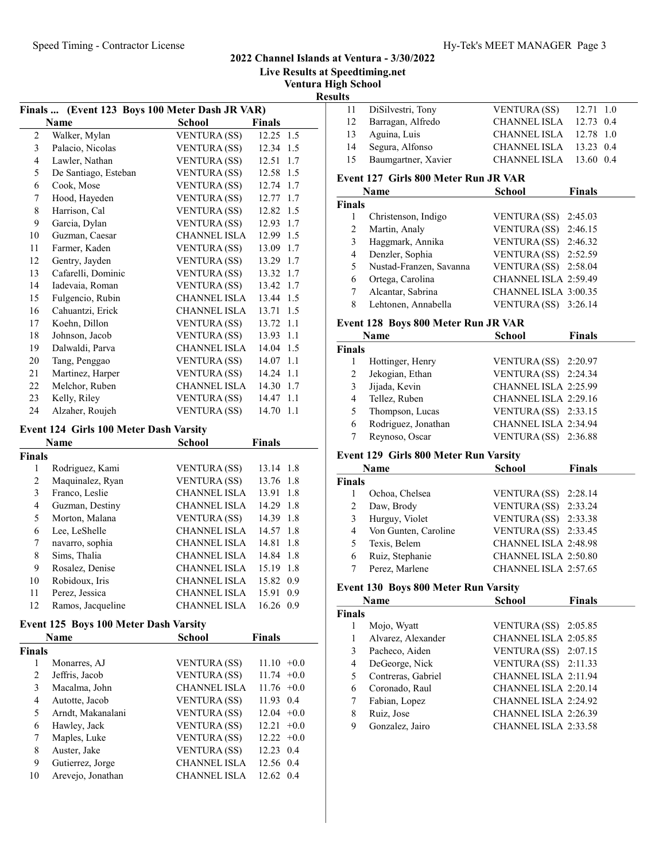Live Results at Speedtiming.net

Ventura High School

Results

|                | Finals  (Event 123 Boys 100 Meter Dash JR VAR) |                     |               |  |
|----------------|------------------------------------------------|---------------------|---------------|--|
|                | <b>Name</b>                                    | <b>School</b>       | <b>Finals</b> |  |
| $\overline{2}$ | Walker, Mylan                                  | <b>VENTURA (SS)</b> | 12.25 1.5     |  |
| 3              | Palacio, Nicolas                               | <b>VENTURA (SS)</b> | 12.34 1.5     |  |
| 4              | Lawler, Nathan                                 | <b>VENTURA (SS)</b> | 12.51<br>1.7  |  |
| 5              | De Santiago, Esteban                           | <b>VENTURA (SS)</b> | 12.58 1.5     |  |
| 6              | Cook, Mose                                     | <b>VENTURA (SS)</b> | 12.74 1.7     |  |
| 7              | Hood, Hayeden                                  | <b>VENTURA (SS)</b> | 12.77<br>1.7  |  |
| 8              | Harrison, Cal                                  | <b>VENTURA (SS)</b> | 12.82 1.5     |  |
| 9              | Garcia, Dylan                                  | <b>VENTURA (SS)</b> | 12.93 1.7     |  |
| 10             | Guzman, Caesar                                 | <b>CHANNEL ISLA</b> | 12.99 1.5     |  |
| 11             | Farmer, Kaden                                  | <b>VENTURA (SS)</b> | 13.09<br>1.7  |  |
| 12             | Gentry, Jayden                                 | <b>VENTURA (SS)</b> | 13.29 1.7     |  |
| 13             | Cafarelli, Dominic                             | <b>VENTURA (SS)</b> | 13.32 1.7     |  |
| 14             | Iadevaia, Roman                                | <b>VENTURA (SS)</b> | 13.42<br>1.7  |  |
| 15             | Fulgencio, Rubin                               | <b>CHANNEL ISLA</b> | 13.44 1.5     |  |
| 16             | Cahuantzi, Erick                               | <b>CHANNEL ISLA</b> | 13.71<br>1.5  |  |
| 17             | Koehn, Dillon                                  | <b>VENTURA (SS)</b> | 13.72<br>1.1  |  |
| 18             | Johnson, Jacob                                 | <b>VENTURA (SS)</b> | 13.93 1.1     |  |
| 19             | Dalwaldi, Parva                                | <b>CHANNEL ISLA</b> | 14.04 1.5     |  |
| 20             | Tang, Penggao                                  | <b>VENTURA</b> (SS) | 14.07<br>-1.1 |  |
| 21             | Martinez, Harper                               | <b>VENTURA (SS)</b> | 14.24 1.1     |  |
| 22             | Melchor, Ruben                                 | <b>CHANNEL ISLA</b> | 14.30 1.7     |  |
| 23             | Kelly, Riley                                   | <b>VENTURA (SS)</b> | 14.47 1.1     |  |
| 24             | Alzaher, Roujeh                                | <b>VENTURA (SS)</b> | 14.70<br>1.1  |  |
|                | Event 124 Girls 100 Meter Dash Varsity         |                     |               |  |
|                | <b>Name</b>                                    | <b>School</b>       | <b>Finals</b> |  |
| Finals         |                                                |                     |               |  |

|        | <b>Name</b>       | School              | Finals         |  |
|--------|-------------------|---------------------|----------------|--|
| Finals |                   |                     |                |  |
|        | Rodriguez, Kami   | <b>VENTURA</b> (SS) | 13.14 1.8      |  |
| 2      | Maquinalez, Ryan  | <b>VENTURA</b> (SS) | 13.76 1.8      |  |
| 3      | Franco, Leslie    | <b>CHANNEL ISLA</b> | 13.91<br>1.8   |  |
| 4      | Guzman, Destiny   | <b>CHANNEL ISLA</b> | 14.29<br>1.8   |  |
| 5      | Morton, Malana    | <b>VENTURA (SS)</b> | 14.39 1.8      |  |
| 6      | Lee, LeShelle     | <b>CHANNEL ISLA</b> | 14.57<br>- 1.8 |  |
| 7      | navarro, sophia   | <b>CHANNEL ISLA</b> | 14.81<br>1.8   |  |
| 8      | Sims, Thalia      | <b>CHANNEL ISLA</b> | 14.84 1.8      |  |
| 9      | Rosalez, Denise   | <b>CHANNEL ISLA</b> | 15.19<br>1.8   |  |
| 10     | Robidoux, Iris    | <b>CHANNEL ISLA</b> | 15.82 0.9      |  |
| 11     | Perez, Jessica    | <b>CHANNEL ISLA</b> | 15.91<br>0.9   |  |
| 12     | Ramos, Jacqueline | <b>CHANNEL ISLA</b> | 16.26<br>0.9   |  |
|        |                   |                     |                |  |

# Event 125 Boys 100 Meter Dash Varsity

|               | <b>Name</b>       | <b>School</b>       | <b>Finals</b>   |
|---------------|-------------------|---------------------|-----------------|
| <b>Finals</b> |                   |                     |                 |
| 1             | Monarres, AJ      | <b>VENTURA</b> (SS) | $11.10 + 0.0$   |
| 2             | Jeffris, Jacob    | <b>VENTURA</b> (SS) | $11.74 +0.0$    |
| 3             | Macalma, John     | <b>CHANNEL ISLA</b> | $11.76 +0.0$    |
| 4             | Autotte, Jacob    | <b>VENTURA</b> (SS) | 11.93 0.4       |
| 5             | Arndt, Makanalani | <b>VENTURA (SS)</b> | $12.04 +0.0$    |
| 6             | Hawley, Jack      | <b>VENTURA</b> (SS) | 12.21<br>$+0.0$ |
| 7             | Maples, Luke      | <b>VENTURA</b> (SS) | $12.22 +0.0$    |
| 8             | Auster, Jake      | <b>VENTURA</b> (SS) | 12.23<br>0.4    |
| 9             | Gutierrez, Jorge  | <b>CHANNEL ISLA</b> | 12.56 0.4       |
| 10            | Arevejo, Jonathan | <b>CHANNEL ISLA</b> | 12.62 0.4       |

| . . |                      |                          |  |
|-----|----------------------|--------------------------|--|
|     | 11 DiSilvestri, Tony | VENTURA $(SS)$ 12.71 1.0 |  |
|     | 12 Barragan, Alfredo | CHANNEL ISLA 12.73 0.4   |  |
|     | 13 Aguina, Luis      | CHANNEL ISLA 12.78 1.0   |  |
| 14  | Segura, Alfonso      | CHANNEL ISLA 13.23 0.4   |  |
| 15  | Baumgartner, Xavier  | CHANNEL ISLA 13.60 0.4   |  |
|     |                      |                          |  |

# Event 127 Girls 800 Meter Run JR VAR

|               | Name                    | School               | <b>Finals</b> |
|---------------|-------------------------|----------------------|---------------|
| <b>Finals</b> |                         |                      |               |
|               | Christenson, Indigo     | <b>VENTURA</b> (SS)  | 2:45.03       |
| 2             | Martin, Analy           | VENTURA (SS)         | 2:46.15       |
| 3             | Haggmark, Annika        | <b>VENTURA (SS)</b>  | 2:46.32       |
| 4             | Denzler, Sophia         | VENTURA (SS)         | 2:52.59       |
| 5             | Nustad-Franzen, Savanna | VENTURA (SS) 2:58.04 |               |
| 6             | Ortega, Carolina        | CHANNEL ISLA 2:59.49 |               |
|               | Alcantar, Sabrina       | CHANNEL ISLA 3:00.35 |               |
| 8             | Lehtonen, Annabella     | <b>VENTURA (SS)</b>  | 3:26.14       |

# Event 128 Boys 800 Meter Run JR VAR

|               | Name                | <b>School</b>          | <b>Finals</b> |
|---------------|---------------------|------------------------|---------------|
| <b>Finals</b> |                     |                        |               |
|               | Hottinger, Henry    | VENTURA (SS) 2:20.97   |               |
| 2             | Jekogian, Ethan     | VENTURA (SS) 2:24.34   |               |
| 3             | Jijada, Kevin       | CHANNEL ISLA 2:25.99   |               |
| 4             | Tellez, Ruben       | CHANNEL ISLA 2:29.16   |               |
| 5             | Thompson, Lucas     | VENTURA $(SS)$ 2:33.15 |               |
| 6             | Rodriguez, Jonathan | CHANNEL ISLA 2:34.94   |               |
|               | Reynoso, Oscar      | <b>VENTURA (SS)</b>    | 2:36.88       |

# Event 129 Girls 800 Meter Run Varsity

|        | Name                 | <b>School</b>               | <b>Finals</b> |
|--------|----------------------|-----------------------------|---------------|
| Finals |                      |                             |               |
|        | Ochoa, Chelsea       | VENTURA (SS) 2:28.14        |               |
| 2      | Daw, Brody           | VENTURA (SS) $2:33.24$      |               |
| 3      | Hurguy, Violet       | VENTURA $(SS)$ 2:33.38      |               |
| 4      | Von Gunten, Caroline | VENTURA (SS) $2:33.45$      |               |
| 5      | Texis, Belem         | <b>CHANNEL ISLA 2:48.98</b> |               |
| 6      | Ruiz, Stephanie      | <b>CHANNEL ISLA 2:50.80</b> |               |
|        | Perez, Marlene       | CHANNEL ISLA 2:57.65        |               |

# Event 130 Boys 800 Meter Run Varsity

|               | Name               | School                 | <b>Finals</b> |
|---------------|--------------------|------------------------|---------------|
| <b>Finals</b> |                    |                        |               |
| 1             | Mojo, Wyatt        | VENTURA $(SS)$ 2:05.85 |               |
| 1             | Alvarez, Alexander | CHANNEL ISLA 2:05.85   |               |
| 3             | Pacheco, Aiden     | VENTURA $(SS)$ 2:07.15 |               |
| 4             | DeGeorge, Nick     | VENTURA $(SS)$ 2:11.33 |               |
| 5             | Contreras, Gabriel | CHANNEL ISLA 2:11.94   |               |
| 6             | Coronado, Raul     | CHANNEL ISLA 2:20.14   |               |
| 7             | Fabian, Lopez      | CHANNEL ISLA 2:24.92   |               |
| 8             | Ruiz, Jose         | CHANNEL ISLA 2:26.39   |               |
| 9             | Gonzalez, Jairo    | CHANNEL ISLA 2:33.58   |               |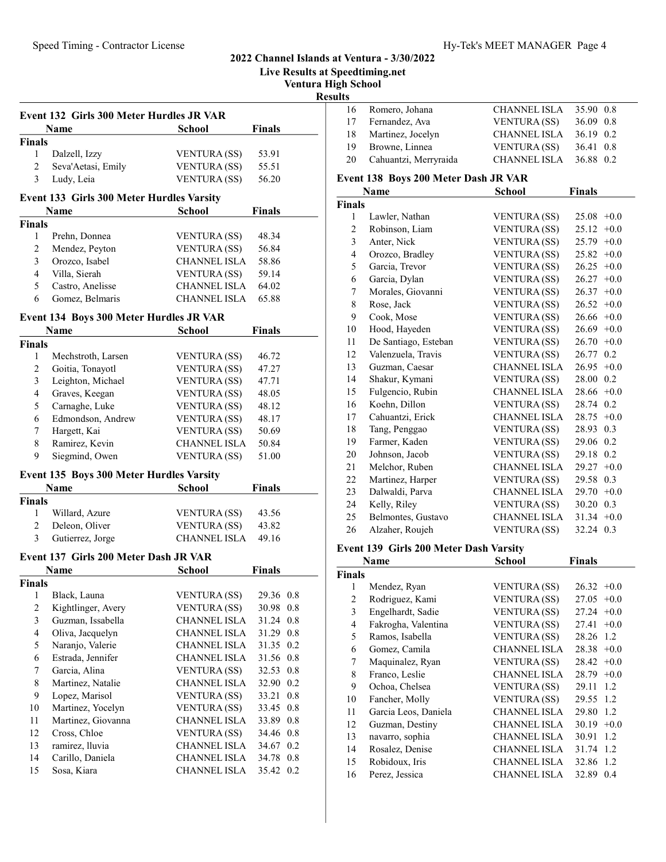Live Results at Speedtiming.net

Ventura High School

Results

|               | Event 132 Girls 300 Meter Hurdles JR VAR |                     |               |  |  |  |
|---------------|------------------------------------------|---------------------|---------------|--|--|--|
|               | Name                                     | <b>School</b>       | <b>Finals</b> |  |  |  |
| <b>Finals</b> |                                          |                     |               |  |  |  |
|               | Dalzell, Izzy                            | <b>VENTURA</b> (SS) | 53.91         |  |  |  |
| 2             | Seva'Aetasi, Emily                       | <b>VENTURA</b> (SS) | 55.51         |  |  |  |
| 3             | Ludy, Leia                               | <b>VENTURA (SS)</b> | 56.20         |  |  |  |

# Event 133 Girls 300 Meter Hurdles Varsity

|        | <b>Name</b>      | <b>School</b>       | Finals |  |
|--------|------------------|---------------------|--------|--|
| Finals |                  |                     |        |  |
|        | Prehn, Donnea    | <b>VENTURA</b> (SS) | 48.34  |  |
|        | Mendez, Peyton   | <b>VENTURA (SS)</b> | 56.84  |  |
|        | Orozco, Isabel   | <b>CHANNEL ISLA</b> | 58.86  |  |
| 4      | Villa, Sierah    | <b>VENTURA</b> (SS) | 59.14  |  |
|        | Castro, Anelisse | <b>CHANNEL ISLA</b> | 64.02  |  |
|        | Gomez, Belmaris  | <b>CHANNEL ISLA</b> | 65.88  |  |

# Event 134 Boys 300 Meter Hurdles JR VAR

|        | Name               | School              | Finals |
|--------|--------------------|---------------------|--------|
| Finals |                    |                     |        |
|        | Mechstroth, Larsen | <b>VENTURA</b> (SS) | 46.72  |
| 2      | Goitia, Tonayotl   | <b>VENTURA (SS)</b> | 47.27  |
| 3      | Leighton, Michael  | <b>VENTURA (SS)</b> | 47.71  |
| 4      | Graves, Keegan     | <b>VENTURA (SS)</b> | 48.05  |
| 5      | Carnaghe, Luke     | <b>VENTURA (SS)</b> | 48.12  |
| 6      | Edmondson, Andrew  | <b>VENTURA (SS)</b> | 48.17  |
| 7      | Hargett, Kai       | <b>VENTURA (SS)</b> | 50.69  |
| 8      | Ramirez, Kevin     | <b>CHANNEL ISLA</b> | 50.84  |
| 9      | Siegmind, Owen     | <b>VENTURA (SS)</b> | 51.00  |

### Event 135 Boys 300 Meter Hurdles Varsity

|               | <b>Name</b>      | <b>School</b>       | <b>Finals</b> |  |
|---------------|------------------|---------------------|---------------|--|
| <b>Finals</b> |                  |                     |               |  |
|               | Willard, Azure   | <b>VENTURA</b> (SS) | 43.56         |  |
| 2             | Deleon, Oliver   | <b>VENTURA</b> (SS) | 43.82         |  |
| 3             | Gutierrez, Jorge | <b>CHANNEL ISLA</b> | 49.16         |  |

### Event 137 Girls 200 Meter Dash JR VAR

| <b>Name</b>   |                    | School              | <b>Finals</b> |
|---------------|--------------------|---------------------|---------------|
| <b>Finals</b> |                    |                     |               |
| 1             | Black, Launa       | <b>VENTURA</b> (SS) | 29.36 0.8     |
| 2             | Kightlinger, Avery | <b>VENTURA (SS)</b> | 30.98 0.8     |
| 3             | Guzman, Issabella  | <b>CHANNEL ISLA</b> | 31.24 0.8     |
| 4             | Oliva, Jacquelyn   | <b>CHANNEL ISLA</b> | 31.29 0.8     |
| 5             | Naranjo, Valerie   | <b>CHANNEL ISLA</b> | 31.35 0.2     |
| 6             | Estrada, Jennifer  | <b>CHANNEL ISLA</b> | 31.56 0.8     |
| 7             | Garcia, Alina      | <b>VENTURA</b> (SS) | 32.53 0.8     |
| 8             | Martinez, Natalie  | CHANNEL ISLA        | 32.90 0.2     |
| 9             | Lopez, Marisol     | <b>VENTURA</b> (SS) | 33.21 0.8     |
| 10            | Martinez, Yocelyn  | <b>VENTURA</b> (SS) | 33.45<br>0.8  |
| 11            | Martinez, Giovanna | CHANNEL ISLA        | 33.89 0.8     |
| 12            | Cross, Chloe       | <b>VENTURA</b> (SS) | 34.46 0.8     |
| 13            | ramirez, lluvia    | <b>CHANNEL ISLA</b> | 34.67 0.2     |
| 14            | Carillo, Daniela   | <b>CHANNEL ISLA</b> | 34.78 0.8     |
| 15            | Sosa, Kiara        | <b>CHANNEL ISLA</b> | 35.42 0.2     |

| 16 | Romero, Johana        | <b>CHANNEL ISLA</b> | 35.90 0.8 |
|----|-----------------------|---------------------|-----------|
|    | 17 Fernandez, Ava     | <b>VENTURA</b> (SS) | 36.09 0.8 |
| 18 | Martinez, Jocelyn     | <b>CHANNEL ISLA</b> | 36.19 0.2 |
| 19 | Browne, Linnea        | <b>VENTURA</b> (SS) | 36.41 0.8 |
| 20 | Cahuantzi, Merryraida | <b>CHANNEL ISLA</b> | 36.88 0.2 |
|    |                       |                     |           |

#### Event 138 Boys 200 Meter Dash JR VAR

|                | Name                 | School              | <b>Finals</b>   |
|----------------|----------------------|---------------------|-----------------|
| <b>Finals</b>  |                      |                     |                 |
| 1              | Lawler, Nathan       | <b>VENTURA</b> (SS) | 25.08<br>$+0.0$ |
| $\overline{c}$ | Robinson, Liam       | <b>VENTURA (SS)</b> | $+0.0$<br>25.12 |
| 3              | Anter, Nick          | <b>VENTURA (SS)</b> | 25.79<br>$+0.0$ |
| $\overline{4}$ | Orozco, Bradley      | <b>VENTURA (SS)</b> | 25.82<br>$+0.0$ |
| 5              | Garcia, Trevor       | <b>VENTURA (SS)</b> | 26.25<br>$+0.0$ |
| 6              | Garcia, Dylan        | <b>VENTURA</b> (SS) | 26.27<br>$+0.0$ |
| 7              | Morales, Giovanni    | <b>VENTURA</b> (SS) | 26.37<br>$+0.0$ |
| 8              | Rose, Jack           | <b>VENTURA (SS)</b> | 26.52<br>$+0.0$ |
| 9              | Cook, Mose           | <b>VENTURA (SS)</b> | 26.66<br>$+0.0$ |
| 10             | Hood, Hayeden        | <b>VENTURA</b> (SS) | $26.69 + 0.0$   |
| 11             | De Santiago, Esteban | <b>VENTURA (SS)</b> | 26.70<br>$+0.0$ |
| 12             | Valenzuela, Travis   | <b>VENTURA (SS)</b> | 26.77<br>0.2    |
| 13             | Guzman, Caesar       | <b>CHANNEL ISLA</b> | $+0.0$<br>26.95 |
| 14             | Shakur, Kymani       | <b>VENTURA (SS)</b> | 28.00<br>0.2    |
| 15             | Fulgencio, Rubin     | <b>CHANNEL ISLA</b> | 28.66<br>$+0.0$ |
| 16             | Koehn, Dillon        | <b>VENTURA (SS)</b> | 28.74 0.2       |
| 17             | Cahuantzi, Erick     | <b>CHANNEL ISLA</b> | $+0.0$<br>28.75 |
| 18             | Tang, Penggao        | <b>VENTURA</b> (SS) | 28.93<br>0.3    |
| 19             | Farmer, Kaden        | <b>VENTURA (SS)</b> | 29.06<br>0.2    |
| 20             | Johnson, Jacob       | <b>VENTURA (SS)</b> | 29.18<br>0.2    |
| 21             | Melchor, Ruben       | <b>CHANNEL ISLA</b> | 29.27<br>$+0.0$ |
| 22             | Martinez, Harper     | <b>VENTURA (SS)</b> | 29.58 0.3       |
| 23             | Dalwaldi, Parva      | <b>CHANNEL ISLA</b> | 29.70<br>$+0.0$ |
| 24             | Kelly, Riley         | <b>VENTURA (SS)</b> | 30.20<br>0.3    |
| 25             | Belmontes, Gustavo   | CHANNEL ISLA        | $31.34 +0.0$    |
| 26             | Alzaher, Roujeh      | <b>VENTURA (SS)</b> | 32.24<br>0.3    |

#### Event 139 Girls 200 Meter Dash Varsity

|               | Name                 | School              | <b>Finals</b>   |
|---------------|----------------------|---------------------|-----------------|
| <b>Finals</b> |                      |                     |                 |
| 1             | Mendez, Ryan         | VENTURA (SS)        | 26.32<br>$+0.0$ |
| 2             | Rodriguez, Kami      | <b>VENTURA (SS)</b> | 27.05<br>$+0.0$ |
| 3             | Engelhardt, Sadie    | <b>VENTURA</b> (SS) | 27.24<br>$+0.0$ |
| 4             | Fakrogha, Valentina  | <b>VENTURA</b> (SS) | 27.41<br>$+0.0$ |
| 5             | Ramos, Isabella      | <b>VENTURA</b> (SS) | 28.26<br>1.2    |
| 6             | Gomez, Camila        | CHANNEL ISLA        | 28.38<br>$+0.0$ |
| 7             | Maquinalez, Ryan     | <b>VENTURA (SS)</b> | $28.42 +0.0$    |
| 8             | Franco, Leslie       | <b>CHANNEL ISLA</b> | 28.79<br>$+0.0$ |
| 9             | Ochoa, Chelsea       | <b>VENTURA (SS)</b> | 29.11<br>1.2    |
| 10            | Fancher, Molly       | <b>VENTURA (SS)</b> | 29.55<br>1.2    |
| 11            | Garcia Leos, Daniela | CHANNEL ISLA        | 29.80<br>1.2    |
| 12            | Guzman, Destiny      | CHANNEL ISLA        | 30.19<br>$+0.0$ |
| 13            | navarro, sophia      | CHANNEL ISLA        | 30.91<br>1.2    |
| 14            | Rosalez, Denise      | <b>CHANNEL ISLA</b> | 31.74<br>1.2    |
| 15            | Robidoux, Iris       | CHANNEL ISLA        | 32.86<br>1.2    |
| 16            | Perez, Jessica       | <b>CHANNEL ISLA</b> | 32.89<br>0.4    |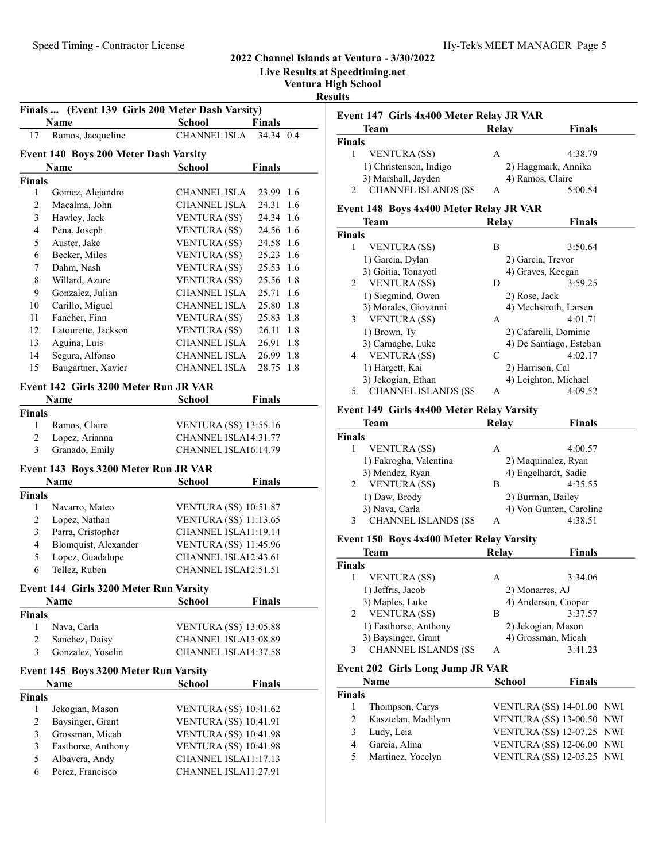Live Results at Speedtiming.net

Ventura High School

Results

|                | Finals  (Event 139 Girls 200 Meter Dash Varsity)<br>Name | <b>School</b>                | <b>Finals</b> | Event         |
|----------------|----------------------------------------------------------|------------------------------|---------------|---------------|
| 17             | Ramos, Jacqueline                                        | CHANNEL ISLA                 | 34.34 0.4     | <b>Finals</b> |
|                | Event 140 Boys 200 Meter Dash Varsity                    |                              |               |               |
|                | Name                                                     | <b>School</b>                | <b>Finals</b> |               |
| <b>Finals</b>  |                                                          |                              |               |               |
| $\mathbf{1}$   | Gomez, Alejandro                                         | <b>CHANNEL ISLA</b>          | 23.99 1.6     |               |
| $\overline{c}$ | Macalma, John                                            | <b>CHANNEL ISLA</b>          | 24.31<br>1.6  | Event         |
| 3              | Hawley, Jack                                             | <b>VENTURA (SS)</b>          | 24.34 1.6     |               |
| $\overline{4}$ | Pena, Joseph                                             | <b>VENTURA (SS)</b>          | 24.56 1.6     | Finals        |
| 5              | Auster, Jake                                             | <b>VENTURA (SS)</b>          | 24.58 1.6     |               |
| 6              | Becker, Miles                                            | VENTURA (SS)                 | 25.23 1.6     |               |
| 7              | Dahm, Nash                                               | <b>VENTURA (SS)</b>          | 25.53 1.6     |               |
| $\,8\,$        | Willard, Azure                                           | VENTURA (SS)                 | 25.56 1.8     |               |
| 9              | Gonzalez, Julian                                         | CHANNEL ISLA                 | 25.71 1.6     |               |
| 10             | Carillo, Miguel                                          | CHANNEL ISLA                 | 25.80 1.8     |               |
| 11             | Fancher, Finn                                            | VENTURA (SS)                 | 25.83 1.8     |               |
| 12             | Latourette, Jackson                                      | <b>VENTURA (SS)</b>          | 26.11<br>1.8  |               |
| 13             | Aguina, Luis                                             | CHANNEL ISLA                 | 26.91<br>1.8  |               |
| 14             |                                                          | CHANNEL ISLA                 |               |               |
|                | Segura, Alfonso                                          | CHANNEL ISLA                 | 26.99 1.8     |               |
| 15             | Baugartner, Xavier                                       |                              | 28.75 1.8     |               |
|                | Event 142 Girls 3200 Meter Run JR VAR                    |                              |               |               |
|                | Name                                                     | <b>School</b>                | <b>Finals</b> |               |
| <b>Finals</b>  |                                                          |                              |               | Event         |
| 1              | Ramos, Claire                                            | <b>VENTURA (SS) 13:55.16</b> |               |               |
| $\overline{c}$ | Lopez, Arianna                                           | CHANNEL ISLA14:31.77         |               | <b>Finals</b> |
| 3              | Granado, Emily                                           | CHANNEL ISLA16:14.79         |               |               |
|                | Event 143 Boys 3200 Meter Run JR VAR                     |                              |               |               |
|                | Name                                                     | <b>School</b>                | <b>Finals</b> |               |
| <b>Finals</b>  |                                                          |                              |               |               |
| 1              | Navarro, Mateo                                           | <b>VENTURA (SS) 10:51.87</b> |               |               |
| $\mathbf{2}$   | Lopez, Nathan                                            | <b>VENTURA (SS) 11:13.65</b> |               |               |
| 3              | Parra, Cristopher                                        | CHANNEL ISLA11:19.14         |               |               |
| $\overline{4}$ | Blomquist, Alexander                                     | <b>VENTURA (SS) 11:45.96</b> |               |               |
| 5              | Lopez, Guadalupe                                         | CHANNEL ISLA12:43.61         |               | <b>Finals</b> |
| 6              | Tellez, Ruben                                            | CHANNEL ISLA12:51.51         |               |               |
|                | Event 144 Girls 3200 Meter Run Varsity                   |                              |               |               |
|                | Name                                                     | <b>School</b>                | <b>Finals</b> |               |
| <b>Finals</b>  |                                                          |                              |               |               |
| 1              | Nava, Carla                                              | <b>VENTURA (SS) 13:05.88</b> |               |               |
| $\overline{c}$ | Sanchez, Daisy                                           | CHANNEL ISLA13:08.89         |               |               |
| 3              | Gonzalez, Yoselin                                        | CHANNEL ISLA14:37.58         |               |               |
|                | Event 145 Boys 3200 Meter Run Varsity                    |                              |               | Event         |
|                | Name                                                     | <b>School</b>                | <b>Finals</b> |               |
| <b>Finals</b>  |                                                          |                              |               | <b>Finals</b> |
| $\mathbf{1}$   | Jekogian, Mason                                          | <b>VENTURA (SS) 10:41.62</b> |               |               |
| 2              | Baysinger, Grant                                         | <b>VENTURA (SS) 10:41.91</b> |               |               |
| $\mathfrak{Z}$ | Grossman, Micah                                          | <b>VENTURA (SS) 10:41.98</b> |               |               |
| $\mathfrak{Z}$ | Fasthorse, Anthony                                       | <b>VENTURA (SS) 10:41.98</b> |               |               |
| 5              | Albavera, Andy                                           | CHANNEL ISLA11:17.13         |               |               |
| 6              | Perez, Francisco                                         | CHANNEL ISLA11:27.91         |               |               |
|                |                                                          |                              |               |               |

| Team                        | Relay | <b>Finals</b>       |
|-----------------------------|-------|---------------------|
| Finals                      |       |                     |
| <b>VENTURA (SS)</b>         | A     | 4:38.79             |
| 1) Christenson, Indigo      |       | 2) Haggmark, Annika |
| 3) Marshall, Jayden         |       | 4) Ramos, Claire    |
| <b>CHANNEL ISLANDS (SS)</b> | А     | 5:00.54             |

#### 148 Boys 4x400 Meter Relay JR VAR

| <b>Team</b>                     | Relav         | <b>Finals</b>           |
|---------------------------------|---------------|-------------------------|
| <b>inals</b>                    |               |                         |
| <b>VENTURA</b> (SS)<br>1        | В             | 3:50.64                 |
| 1) Garcia, Dylan                |               | 2) Garcia, Trevor       |
| 3) Goitia, Tonayotl             |               | 4) Graves, Keegan       |
| <b>VENTURA</b> (SS)<br>2        | D             | 3:59.25                 |
| 1) Siegmind, Owen               | 2) Rose, Jack |                         |
| 3) Morales, Giovanni            |               | 4) Mechstroth, Larsen   |
| 3<br><b>VENTURA</b> (SS)        | A             | 4:01.71                 |
| 1) Brown, Ty                    |               | 2) Cafarelli, Dominic   |
| 3) Carnaghe, Luke               |               | 4) De Santiago, Esteban |
| <b>VENTURA</b> (SS)<br>4        | C             | 4:02.17                 |
| 1) Hargett, Kai                 |               | 2) Harrison, Cal        |
| 3) Jekogian, Ethan              |               | 4) Leighton, Michael    |
| <b>CHANNEL ISLANDS (SS</b><br>5 | A             | 4:09.52                 |

#### 149 Girls 4x400 Meter Relay Varsity

| Team                            | Relay | <b>Finals</b>           |
|---------------------------------|-------|-------------------------|
| Finals                          |       |                         |
| <b>VENTURA</b> (SS)             | Α     | 4:00.57                 |
| 1) Fakrogha, Valentina          |       | 2) Maquinalez, Ryan     |
| 3) Mendez, Ryan                 |       | 4) Engelhardt, Sadie    |
| <b>VENTURA</b> (SS)             | В     | 4:35.55                 |
| 1) Daw, Brody                   |       | 2) Burman, Bailey       |
| 3) Nava, Carla                  |       | 4) Von Gunten, Caroline |
| <b>CHANNEL ISLANDS (SS</b><br>3 | А     | 4:38.51                 |

# 150 Boys 4x400 Meter Relay Varsity

| <b>Finals</b> |
|---------------|
|               |
| 3:34.06       |
|               |
|               |
| 3:37.57       |
|               |
|               |
| 3:41.23       |
|               |

### 202 Girls Long Jump JR VAR

| Name          |                     | <b>School</b> | <b>Finals</b>                    |
|---------------|---------------------|---------------|----------------------------------|
| <b>Tinals</b> |                     |               |                                  |
|               | Thompson, Carys     |               | VENTURA (SS) 14-01.00 NWI        |
|               | Kasztelan, Madilynn |               | <b>VENTURA (SS) 13-00.50 NWI</b> |
|               | Ludy, Leia          |               | VENTURA (SS) 12-07.25 NWI        |
|               | Garcia, Alina       |               | <b>VENTURA (SS) 12-06.00 NWI</b> |
|               | Martinez, Yocelyn   |               | VENTURA (SS) 12-05.25 NWI        |
|               |                     |               |                                  |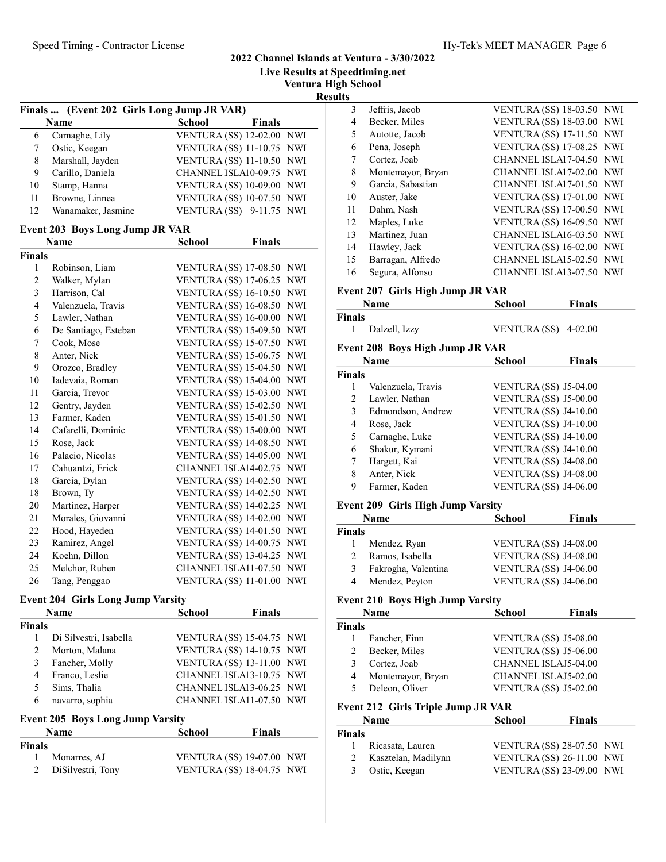Live Results at Speedtiming.net Ventura High School

Results

|    | Finals  (Event 202 Girls Long Jump JR VAR) |                                  |               |  |
|----|--------------------------------------------|----------------------------------|---------------|--|
|    | <b>Name</b>                                | <b>School</b>                    | <b>Finals</b> |  |
| 6  | Carnaghe, Lily                             | VENTURA (SS) 12-02.00 NWI        |               |  |
|    | Ostic, Keegan                              | VENTURA (SS) 11-10.75 NWI        |               |  |
| 8  | Marshall, Jayden                           | VENTURA (SS) 11-10.50 NWI        |               |  |
| 9  | Carillo, Daniela                           | CHANNEL ISLA10-09.75 NWI         |               |  |
| 10 | Stamp, Hanna                               | <b>VENTURA (SS) 10-09.00 NWI</b> |               |  |
| 11 | Browne, Linnea                             | VENTURA (SS) 10-07.50 NWI        |               |  |
| 12 | Wanamaker, Jasmine                         | VENTURA (SS) 9-11.75 NWI         |               |  |

# Event 203 Boys Long Jump JR VAR

|                | Name                 | School                       | <b>Finals</b> |            |
|----------------|----------------------|------------------------------|---------------|------------|
| Finals         |                      |                              |               |            |
| 1              | Robinson, Liam       | <b>VENTURA (SS) 17-08.50</b> |               | <b>NWI</b> |
| $\overline{c}$ | Walker, Mylan        | <b>VENTURA (SS) 17-06.25</b> |               | <b>NWI</b> |
| 3              | Harrison, Cal        | <b>VENTURA (SS) 16-10.50</b> |               | <b>NWI</b> |
| $\overline{4}$ | Valenzuela, Travis   | <b>VENTURA (SS) 16-08.50</b> |               | <b>NWI</b> |
| 5              | Lawler, Nathan       | <b>VENTURA (SS) 16-00.00</b> |               | <b>NWI</b> |
| 6              | De Santiago, Esteban | <b>VENTURA (SS) 15-09.50</b> |               | <b>NWI</b> |
| 7              | Cook, Mose           | <b>VENTURA (SS) 15-07.50</b> |               | <b>NWI</b> |
| 8              | Anter, Nick          | <b>VENTURA (SS) 15-06.75</b> |               | <b>NWI</b> |
| 9              | Orozco, Bradley      | <b>VENTURA (SS) 15-04.50</b> |               | <b>NWI</b> |
| 10             | Iadevaia, Roman      | <b>VENTURA (SS) 15-04.00</b> |               | <b>NWI</b> |
| 11             | Garcia, Trevor       | <b>VENTURA (SS) 15-03.00</b> |               | <b>NWI</b> |
| 12             | Gentry, Jayden       | <b>VENTURA (SS) 15-02.50</b> |               | <b>NWI</b> |
| 13             | Farmer, Kaden        | <b>VENTURA (SS) 15-01.50</b> |               | <b>NWI</b> |
| 14             | Cafarelli, Dominic   | <b>VENTURA (SS) 15-00.00</b> |               | <b>NWI</b> |
| 15             | Rose, Jack           | <b>VENTURA (SS) 14-08.50</b> |               | <b>NWI</b> |
| 16             | Palacio, Nicolas     | <b>VENTURA (SS) 14-05.00</b> |               | <b>NWI</b> |
| 17             | Cahuantzi, Erick     | CHANNEL ISLA14-02.75         |               | <b>NWI</b> |
| 18             | Garcia, Dylan        | <b>VENTURA (SS) 14-02.50</b> |               | <b>NWI</b> |
| 18             | Brown, Ty            | <b>VENTURA (SS) 14-02.50</b> |               | <b>NWI</b> |
| 20             | Martinez, Harper     | <b>VENTURA (SS) 14-02.25</b> |               | <b>NWI</b> |
| 21             | Morales, Giovanni    | <b>VENTURA (SS) 14-02.00</b> |               | <b>NWI</b> |
| 22             | Hood, Hayeden        | <b>VENTURA (SS) 14-01.50</b> |               | <b>NWI</b> |
| 23             | Ramirez, Angel       | <b>VENTURA (SS) 14-00.75</b> |               | <b>NWI</b> |
| 24             | Koehn, Dillon        | <b>VENTURA (SS) 13-04.25</b> |               | <b>NWI</b> |
| 25             | Melchor, Ruben       | CHANNEL ISLA11-07.50         |               | <b>NWI</b> |
| 26             | Tang, Penggao        | <b>VENTURA (SS) 11-01.00</b> |               | <b>NWI</b> |

#### Event 204 Girls Long Jump Varsity

|                        | <b>School</b>         | <b>Finals</b> |                                                                                                                                                                                       |
|------------------------|-----------------------|---------------|---------------------------------------------------------------------------------------------------------------------------------------------------------------------------------------|
|                        |                       |               |                                                                                                                                                                                       |
| Di Silvestri, Isabella |                       |               |                                                                                                                                                                                       |
| Morton, Malana         |                       |               |                                                                                                                                                                                       |
| Fancher, Molly         |                       |               |                                                                                                                                                                                       |
| Franco, Leslie         |                       |               |                                                                                                                                                                                       |
| Sims, Thalia           |                       |               |                                                                                                                                                                                       |
| navarro, sophia        |                       |               |                                                                                                                                                                                       |
|                        | Name<br><b>Finals</b> |               | <b>VENTURA (SS) 15-04.75 NWI</b><br>VENTURA (SS) 14-10.75 NWI<br><b>VENTURA (SS) 13-11.00 NWI</b><br>CHANNEL ISLA13-10.75 NWI<br>CHANNEL ISLA13-06.25 NWI<br>CHANNEL ISLA11-07.50 NWI |

### Event 205 Boys Long Jump Varsity

|               | <b>Name</b>       | School | <b>Finals</b>                    |
|---------------|-------------------|--------|----------------------------------|
| <b>Finals</b> |                   |        |                                  |
| $\mathbf{1}$  | Monarres, AJ      |        | <b>VENTURA (SS) 19-07.00 NWI</b> |
| 2             | DiSilvestri, Tony |        | VENTURA $(SS)$ 18-04.75 NWI      |

| 3  | Jeffris, Jacob    | <b>VENTURA (SS) 18-03.50 NWI</b> |            |
|----|-------------------|----------------------------------|------------|
| 4  | Becker, Miles     | <b>VENTURA (SS) 18-03.00 NWI</b> |            |
| 5  | Autotte, Jacob    | <b>VENTURA (SS) 17-11.50 NWI</b> |            |
| 6  | Pena, Joseph      | <b>VENTURA (SS) 17-08.25 NWI</b> |            |
| 7  | Cortez, Joab      | CHANNEL ISLA17-04.50 NWI         |            |
| 8  | Montemayor, Bryan | CHANNEL ISLA17-02.00 NWI         |            |
| 9  | Garcia, Sabastian | CHANNEL ISLA17-01.50 NWI         |            |
| 10 | Auster, Jake      | <b>VENTURA (SS) 17-01.00 NWI</b> |            |
| 11 | Dahm, Nash        | <b>VENTURA (SS) 17-00.50 NWI</b> |            |
| 12 | Maples, Luke      | VENTURA (SS) 16-09.50 NWI        |            |
| 13 | Martinez, Juan    | CHANNEL ISLA16-03.50             | <b>NWI</b> |
| 14 | Hawley, Jack      | <b>VENTURA (SS) 16-02.00</b>     | <b>NWI</b> |
| 15 | Barragan, Alfredo | CHANNEL ISLA15-02.50             | <b>NWI</b> |
| 16 | Segura, Alfonso   | CHANNEL ISLA13-07.50 NWI         |            |
|    |                   |                                  |            |

#### Event 207 Girls High Jump JR VAR

|        | Name                                   | School                       | <b>Finals</b> |
|--------|----------------------------------------|------------------------------|---------------|
| Finals |                                        |                              |               |
|        | Dalzell, Izzy                          | <b>VENTURA</b> (SS)          | $4 - 02.00$   |
|        | <b>Event 208 Boys High Jump JR VAR</b> |                              |               |
|        | Name                                   | <b>School</b>                | <b>Finals</b> |
| Finals |                                        |                              |               |
|        | Valenzuela, Travis                     | <b>VENTURA (SS) J5-04.00</b> |               |
| 2      | Lawler, Nathan                         | VENTURA (SS) J5-00.00        |               |
| 3      | Edmondson, Andrew                      | VENTURA (SS) J4-10.00        |               |
| 4      | Rose, Jack                             | VENTURA (SS) J4-10.00        |               |

|    | 5 Carnaghe, Luke | VENTURA (SS) J4-10.00 |
|----|------------------|-----------------------|
|    | 6 Shakur, Kymani | VENTURA (SS) J4-10.00 |
|    | 7 Hargett, Kai   | VENTURA (SS) J4-08.00 |
| -8 | Anter, Nick      | VENTURA (SS) J4-08.00 |
| -9 | Farmer, Kaden    | VENTURA (SS) J4-06.00 |

### Event 209 Girls High Jump Varsity

|                               | Name                | <b>School</b>         | <b>Finals</b> |
|-------------------------------|---------------------|-----------------------|---------------|
| Finals                        |                     |                       |               |
|                               | Mendez, Ryan        | VENTURA (SS) J4-08.00 |               |
| $\mathfrak{D}_{\mathfrak{p}}$ | Ramos, Isabella     | VENTURA (SS) J4-08.00 |               |
| 3                             | Fakrogha, Valentina | VENTURA (SS) J4-06.00 |               |
|                               | Mendez, Peyton      | VENTURA (SS) J4-06.00 |               |

### Event 210 Boys High Jump Varsity

| Name<br>Finals |                                           | <b>School</b>               | <b>Finals</b> |  |
|----------------|-------------------------------------------|-----------------------------|---------------|--|
|                |                                           |                             |               |  |
|                | Fancher, Finn                             | VENTURA (SS) J5-08.00       |               |  |
|                | Becker, Miles                             | VENTURA (SS) J5-06.00       |               |  |
|                | Cortez, Joab                              | CHANNEL ISLAJ5-04.00        |               |  |
| 4              | Montemayor, Bryan                         | <b>CHANNEL ISLAJ5-02.00</b> |               |  |
|                | Deleon, Oliver                            | VENTURA (SS) J5-02.00       |               |  |
|                | <b>Event 212 Girls Triple Jump JR VAR</b> |                             |               |  |

|               | <b>Name</b>         | <b>School</b> | <b>Finals</b>                    |
|---------------|---------------------|---------------|----------------------------------|
| <b>Finals</b> |                     |               |                                  |
| 1             | Ricasata, Lauren    |               | VENTURA (SS) 28-07.50 NWI        |
| 2             | Kasztelan, Madilynn |               | <b>VENTURA (SS) 26-11.00 NWI</b> |
| 3             | Ostic, Keegan       |               | <b>VENTURA (SS) 23-09.00 NWI</b> |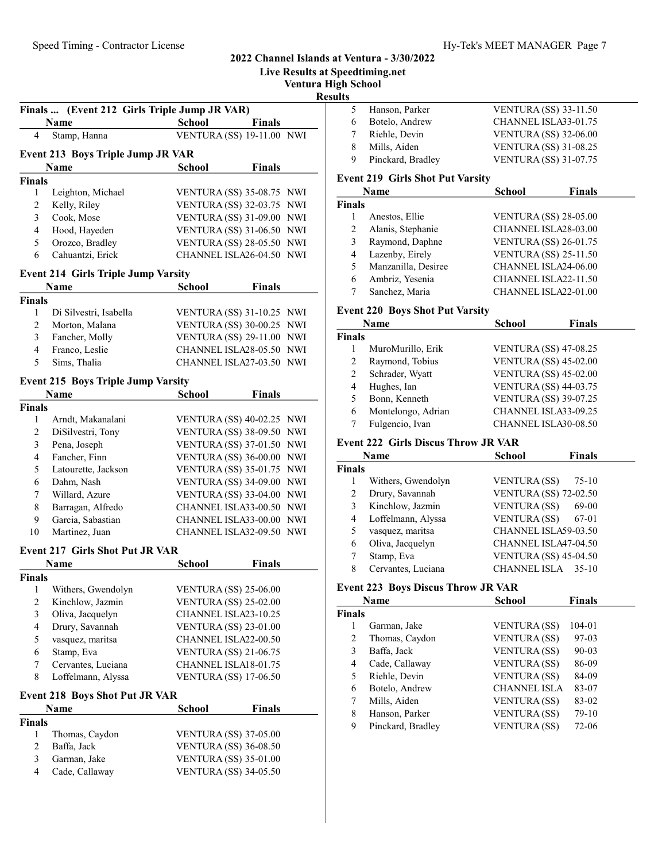### Ventura High School Results Finals ... (Event 212 Girls Triple Jump JR VAR) Name School Finals 4 Stamp, Hanna VENTURA (SS) 19-11.00 NWI Event 213 Boys Triple Jump JR VAR Name School Finals Finals 1 Leighton, Michael VENTURA (SS) 35-08.75 NWI 2 Kelly, Riley VENTURA (SS) 32-03.75 NWI 3 Cook, Mose VENTURA (SS) 31-09.00 NWI 4 Hood, Hayeden VENTURA (SS) 31-06.50 NWI 5 Orozco, Bradley VENTURA (SS) 28-05.50 NWI 6 Cahuantzi, Erick CHANNEL ISLA26-04.50 NWI Event 214 Girls Triple Jump Varsity Name School Finals Finals 1 Di Silvestri, Isabella VENTURA (SS) 31-10.25 NWI 2 Morton, Malana VENTURA (SS) 30-00.25 NWI 3 Fancher, Molly VENTURA (SS) 29-11.00 NWI 4 Franco, Leslie CHANNEL ISLA28-05.50 NWI 5 Sims, Thalia CHANNEL ISLA27-03.50 NWI Event 215 Boys Triple Jump Varsity Name School Finals Finals 1 Arndt, Makanalani VENTURA (SS) 40-02.25 NWI 2 DiSilvestri, Tony VENTURA (SS) 38-09.50 NWI 3 Pena, Joseph VENTURA (SS) 37-01.50 NWI 4 Fancher, Finn VENTURA (SS) 36-00.00 NWI 5 Latourette, Jackson VENTURA (SS) 35-01.75 NWI 6 Dahm, Nash VENTURA (SS) 34-09.00 NWI 7 Willard, Azure VENTURA (SS) 33-04.00 NWI 8 Barragan, Alfredo CHANNEL ISLA33-00.50 NWI 9 Garcia, Sabastian CHANNEL ISLA33-00.00 NWI 10 Martinez, Juan CHANNEL ISLA32-09.50 NWI Event 217 Girls Shot Put JR VAR Name School Finals Finals 1 Withers, Gwendolyn VENTURA (SS) 25-06.00 2 Kinchlow, Jazmin VENTURA (SS) 25-02.00 3 Oliva, Jacquelyn CHANNEL ISLA23-10.25 4 Drury, Savannah VENTURA (SS) 23-01.00 5 vasquez, maritsa CHANNEL ISLA22-00.50 6 Stamp, Eva VENTURA (SS) 21-06.75 7 Cervantes, Luciana CHANNEL ISLA18-01.75 8 Loffelmann, Alyssa VENTURA (SS) 17-06.50 Event 218 Boys Shot Put JR VAR Name School Finals Finals 1 Thomas, Caydon VENTURA (SS) 37-05.00 2 Baffa, Jack VENTURA (SS) 36-08.50 3 Garman, Jake VENTURA (SS) 35-01.00<br>4 Cade, Callaway VENTURA (SS) 34-05.50 4 Cade, Callaway VENTURA (SS) 34-05.50 Fin  $\bar{F}$  $\mathbf{F}$  $\overline{F}$

#### 2022 Channel Islands at Ventura - 3/30/2022

Live Results at Speedtiming.net

|    | 5 Hanson, Parker  | <b>VENTURA (SS) 33-11.50</b> |
|----|-------------------|------------------------------|
| 6  | Botelo, Andrew    | CHANNEL ISLA33-01.75         |
|    | 7 Riehle, Devin   | <b>VENTURA (SS) 32-06.00</b> |
| 8. | Mills, Aiden      | <b>VENTURA (SS) 31-08.25</b> |
| 9. | Pinckard, Bradley | <b>VENTURA (SS) 31-07.75</b> |
|    |                   |                              |

#### Event 219 Girls Shot Put Varsity

| Name   |                     | <b>School</b>                | <b>Finals</b> |  |
|--------|---------------------|------------------------------|---------------|--|
| nals   |                     |                              |               |  |
|        | Anestos, Ellie      | <b>VENTURA (SS) 28-05.00</b> |               |  |
|        | Alanis, Stephanie   | CHANNEL ISLA28-03.00         |               |  |
| 3      | Raymond, Daphne     | <b>VENTURA (SS) 26-01.75</b> |               |  |
| 4      | Lazenby, Eirely     | <b>VENTURA (SS) 25-11.50</b> |               |  |
| $\sim$ | Manzanilla, Desiree | CHANNEL ISLA24-06.00         |               |  |
| 6      | Ambriz, Yesenia     | CHANNEL ISLA22-11.50         |               |  |
|        | Sanchez, Maria      | CHANNEL ISLA22-01.00         |               |  |

#### Event 220 Boys Shot Put Varsity

#### Event 222 Girls Discus Throw JR VAR

|        | Name               | School                       | <b>Finals</b> |
|--------|--------------------|------------------------------|---------------|
| `inals |                    |                              |               |
|        | Withers, Gwendolyn | <b>VENTURA (SS)</b>          | $75-10$       |
|        | Drury, Savannah    | <b>VENTURA (SS) 72-02.50</b> |               |
| 3      | Kinchlow, Jazmin   | <b>VENTURA (SS)</b>          | 69-00         |
| 4      | Loffelmann, Alyssa | <b>VENTURA</b> (SS)          | 67-01         |
| 5      | vasquez, maritsa   | CHANNEL ISLA59-03.50         |               |
| 6      | Oliva, Jacquelyn   | CHANNEL ISLA47-04.50         |               |
|        | Stamp, Eva         | <b>VENTURA (SS) 45-04.50</b> |               |
| 8      | Cervantes, Luciana | CHANNEL ISLA                 | $35-10$       |

#### Event 223 Boys Discus Throw JR VAR

|        | Name              | School              | <b>Finals</b> |  |  |
|--------|-------------------|---------------------|---------------|--|--|
| ∛inals |                   |                     |               |  |  |
|        | Garman, Jake      | <b>VENTURA</b> (SS) | 104-01        |  |  |
| 2      | Thomas, Caydon    | <b>VENTURA</b> (SS) | 97-03         |  |  |
| 3      | Baffa, Jack       | <b>VENTURA</b> (SS) | $90 - 03$     |  |  |
| 4      | Cade, Callaway    | <b>VENTURA</b> (SS) | 86-09         |  |  |
| 5      | Riehle, Devin     | <b>VENTURA (SS)</b> | 84-09         |  |  |
| 6      | Botelo, Andrew    | <b>CHANNEL ISLA</b> | 83-07         |  |  |
| 7      | Mills, Aiden      | <b>VENTURA</b> (SS) | 83-02         |  |  |
| 8      | Hanson, Parker    | <b>VENTURA</b> (SS) | $79-10$       |  |  |
| 9      | Pinckard, Bradley | <b>VENTURA</b> (SS) | 72-06         |  |  |